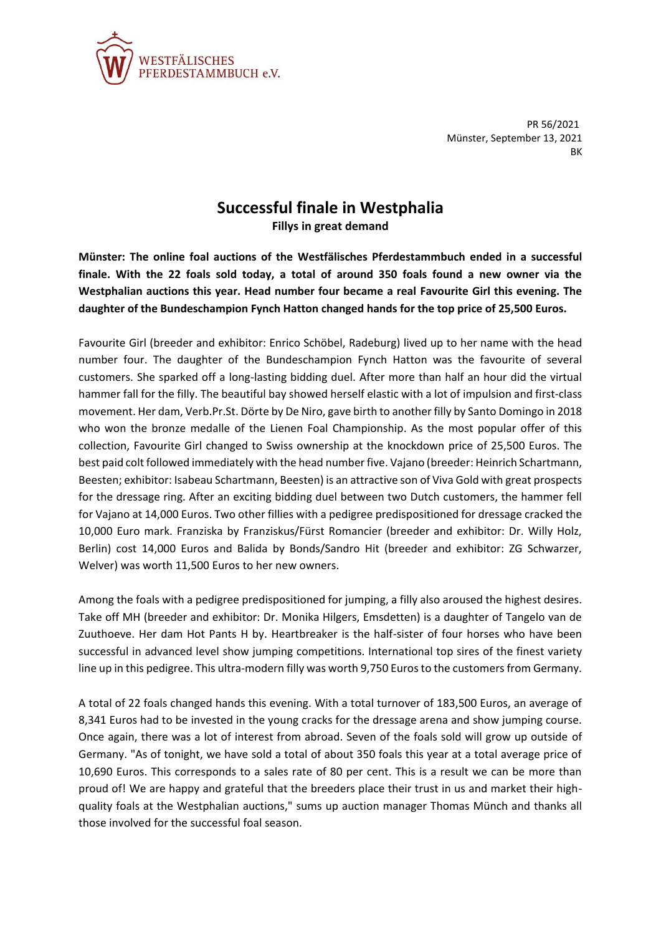

PR 56/2021 Münster, September 13, 2021 BK

## **Successful finale in Westphalia**

**Fillys in great demand**

**Münster: The online foal auctions of the Westfälisches Pferdestammbuch ended in a successful finale. With the 22 foals sold today, a total of around 350 foals found a new owner via the Westphalian auctions this year. Head number four became a real Favourite Girl this evening. The daughter of the Bundeschampion Fynch Hatton changed hands for the top price of 25,500 Euros.**

Favourite Girl (breeder and exhibitor: Enrico Schöbel, Radeburg) lived up to her name with the head number four. The daughter of the Bundeschampion Fynch Hatton was the favourite of several customers. She sparked off a long-lasting bidding duel. After more than half an hour did the virtual hammer fall for the filly. The beautiful bay showed herself elastic with a lot of impulsion and first-class movement. Her dam, Verb.Pr.St. Dörte by De Niro, gave birth to another filly by Santo Domingo in 2018 who won the bronze medalle of the Lienen Foal Championship. As the most popular offer of this collection, Favourite Girl changed to Swiss ownership at the knockdown price of 25,500 Euros. The best paid colt followed immediately with the head number five. Vajano (breeder: Heinrich Schartmann, Beesten; exhibitor: Isabeau Schartmann, Beesten) is an attractive son of Viva Gold with great prospects for the dressage ring. After an exciting bidding duel between two Dutch customers, the hammer fell for Vajano at 14,000 Euros. Two other fillies with a pedigree predispositioned for dressage cracked the 10,000 Euro mark. Franziska by Franziskus/Fürst Romancier (breeder and exhibitor: Dr. Willy Holz, Berlin) cost 14,000 Euros and Balida by Bonds/Sandro Hit (breeder and exhibitor: ZG Schwarzer, Welver) was worth 11,500 Euros to her new owners.

Among the foals with a pedigree predispositioned for jumping, a filly also aroused the highest desires. Take off MH (breeder and exhibitor: Dr. Monika Hilgers, Emsdetten) is a daughter of Tangelo van de Zuuthoeve. Her dam Hot Pants H by. Heartbreaker is the half-sister of four horses who have been successful in advanced level show jumping competitions. International top sires of the finest variety line up in this pedigree. This ultra-modern filly was worth 9,750 Euros to the customers from Germany.

A total of 22 foals changed hands this evening. With a total turnover of 183,500 Euros, an average of 8,341 Euros had to be invested in the young cracks for the dressage arena and show jumping course. Once again, there was a lot of interest from abroad. Seven of the foals sold will grow up outside of Germany. "As of tonight, we have sold a total of about 350 foals this year at a total average price of 10,690 Euros. This corresponds to a sales rate of 80 per cent. This is a result we can be more than proud of! We are happy and grateful that the breeders place their trust in us and market their highquality foals at the Westphalian auctions," sums up auction manager Thomas Münch and thanks all those involved for the successful foal season.